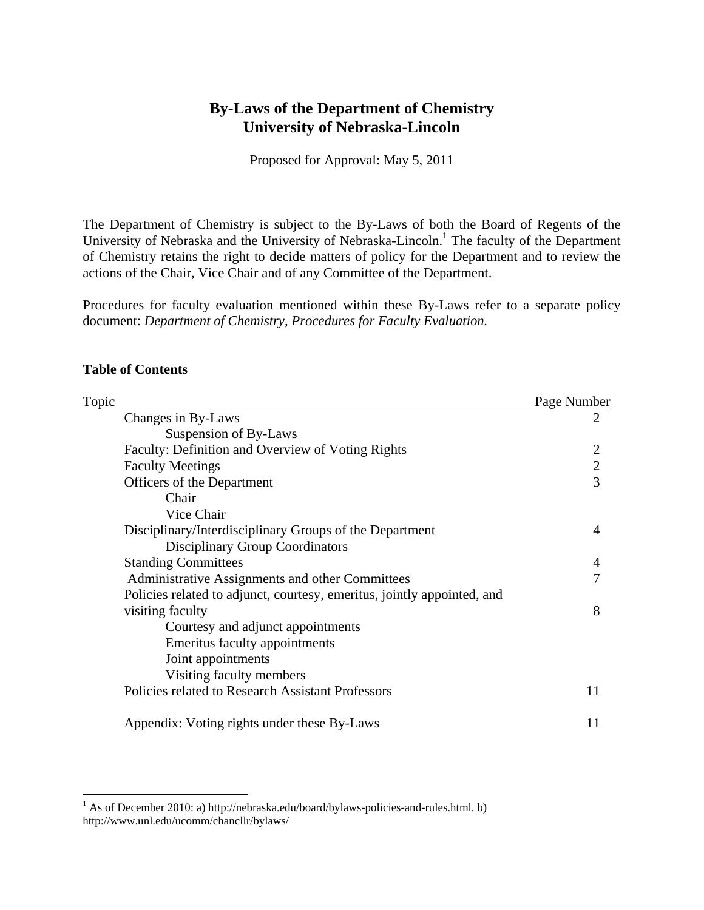# **By-Laws of the Department of Chemistry University of Nebraska-Lincoln**

Proposed for Approval: May 5, 2011

The Department of Chemistry is subject to the By-Laws of both the Board of Regents of the University of Nebraska and the University of Nebraska-Lincoln.<sup>1</sup> The faculty of the Department of Chemistry retains the right to decide matters of policy for the Department and to review the actions of the Chair, Vice Chair and of any Committee of the Department.

Procedures for faculty evaluation mentioned within these By-Laws refer to a separate policy document: *Department of Chemistry, Procedures for Faculty Evaluation.* 

# **Table of Contents**

| <b>Topic</b> |                                                                         | Page Number  |
|--------------|-------------------------------------------------------------------------|--------------|
|              | Changes in By-Laws                                                      | 2            |
|              | Suspension of By-Laws                                                   |              |
|              | Faculty: Definition and Overview of Voting Rights                       |              |
|              | <b>Faculty Meetings</b>                                                 | $\mathbf{2}$ |
|              | Officers of the Department                                              | 3            |
|              | Chair                                                                   |              |
|              | Vice Chair                                                              |              |
|              | Disciplinary/Interdisciplinary Groups of the Department                 | 4            |
|              | <b>Disciplinary Group Coordinators</b>                                  |              |
|              | <b>Standing Committees</b>                                              | 4            |
|              | Administrative Assignments and other Committees                         | 7            |
|              | Policies related to adjunct, courtesy, emeritus, jointly appointed, and |              |
|              | visiting faculty                                                        | 8            |
|              | Courtesy and adjunct appointments                                       |              |
|              | Emeritus faculty appointments                                           |              |
|              | Joint appointments                                                      |              |
|              | Visiting faculty members                                                |              |
|              | Policies related to Research Assistant Professors                       | 11           |
|              | Appendix: Voting rights under these By-Laws                             | 11           |

 1 As of December 2010: a) http://nebraska.edu/board/bylaws-policies-and-rules.html. b) http://www.unl.edu/ucomm/chancllr/bylaws/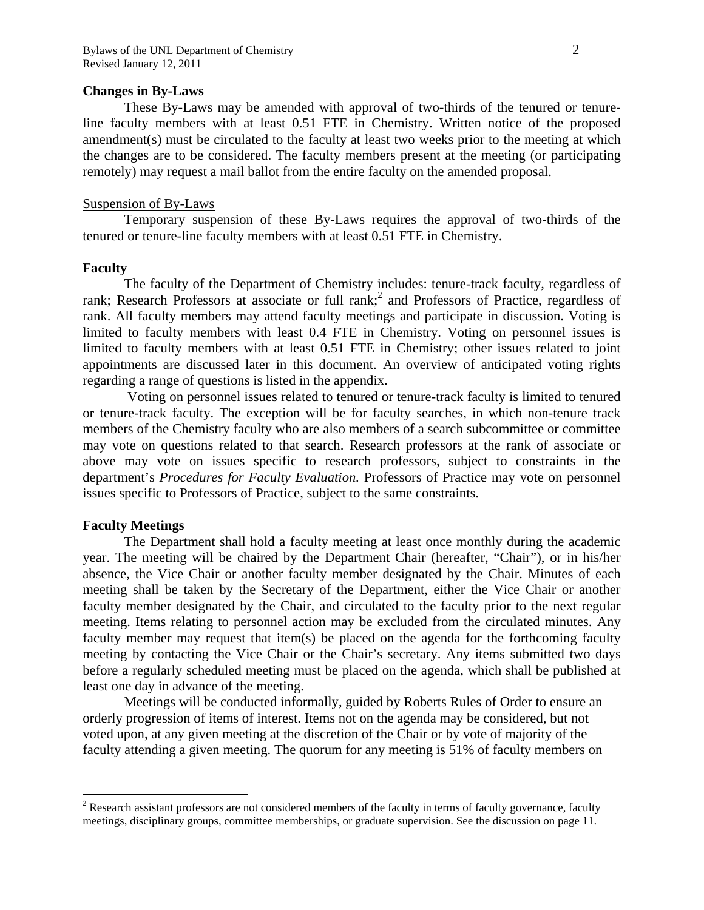#### **Changes in By-Laws**

These By-Laws may be amended with approval of two-thirds of the tenured or tenureline faculty members with at least 0.51 FTE in Chemistry. Written notice of the proposed amendment(s) must be circulated to the faculty at least two weeks prior to the meeting at which the changes are to be considered. The faculty members present at the meeting (or participating remotely) may request a mail ballot from the entire faculty on the amended proposal.

### Suspension of By-Laws

 Temporary suspension of these By-Laws requires the approval of two-thirds of the tenured or tenure-line faculty members with at least 0.51 FTE in Chemistry.

#### **Faculty**

The faculty of the Department of Chemistry includes: tenure-track faculty, regardless of rank; Research Professors at associate or full rank;<sup>2</sup> and Professors of Practice, regardless of rank. All faculty members may attend faculty meetings and participate in discussion. Voting is limited to faculty members with least 0.4 FTE in Chemistry. Voting on personnel issues is limited to faculty members with at least 0.51 FTE in Chemistry; other issues related to joint appointments are discussed later in this document. An overview of anticipated voting rights regarding a range of questions is listed in the appendix.

 Voting on personnel issues related to tenured or tenure-track faculty is limited to tenured or tenure-track faculty. The exception will be for faculty searches, in which non-tenure track members of the Chemistry faculty who are also members of a search subcommittee or committee may vote on questions related to that search. Research professors at the rank of associate or above may vote on issues specific to research professors, subject to constraints in the department's *Procedures for Faculty Evaluation.* Professors of Practice may vote on personnel issues specific to Professors of Practice, subject to the same constraints.

### **Faculty Meetings**

 $\overline{a}$ 

The Department shall hold a faculty meeting at least once monthly during the academic year. The meeting will be chaired by the Department Chair (hereafter, "Chair"), or in his/her absence, the Vice Chair or another faculty member designated by the Chair. Minutes of each meeting shall be taken by the Secretary of the Department, either the Vice Chair or another faculty member designated by the Chair, and circulated to the faculty prior to the next regular meeting. Items relating to personnel action may be excluded from the circulated minutes. Any faculty member may request that item(s) be placed on the agenda for the forthcoming faculty meeting by contacting the Vice Chair or the Chair's secretary. Any items submitted two days before a regularly scheduled meeting must be placed on the agenda, which shall be published at least one day in advance of the meeting.

 Meetings will be conducted informally, guided by Roberts Rules of Order to ensure an orderly progression of items of interest. Items not on the agenda may be considered, but not voted upon, at any given meeting at the discretion of the Chair or by vote of majority of the faculty attending a given meeting. The quorum for any meeting is 51% of faculty members on

 $2^2$  Research assistant professors are not considered members of the faculty in terms of faculty governance, faculty meetings, disciplinary groups, committee memberships, or graduate supervision. See the discussion on page 11.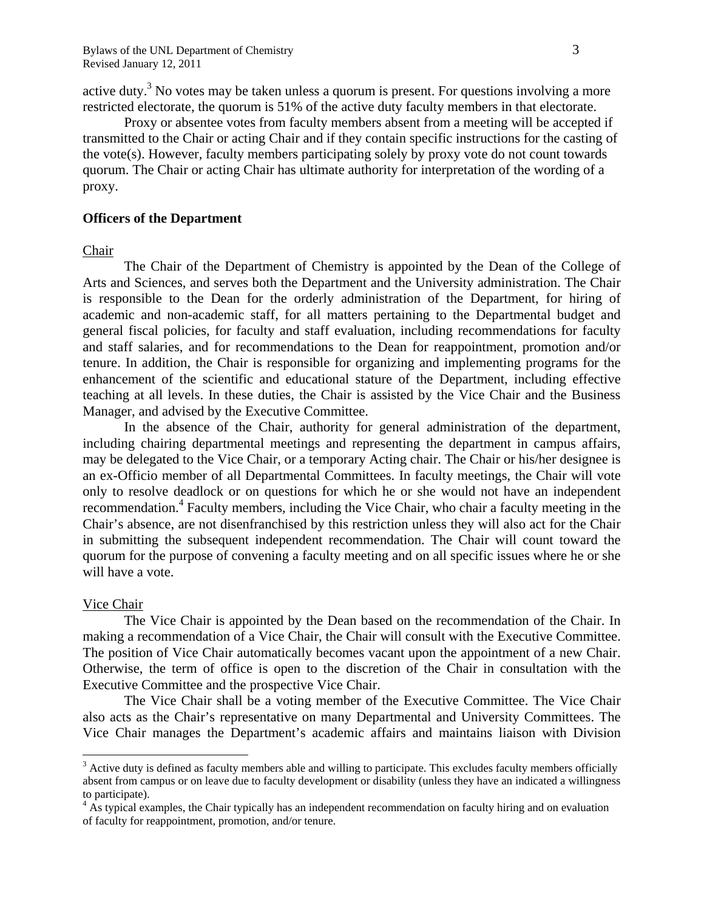active duty.<sup>3</sup> No votes may be taken unless a quorum is present. For questions involving a more restricted electorate, the quorum is 51% of the active duty faculty members in that electorate.

 Proxy or absentee votes from faculty members absent from a meeting will be accepted if transmitted to the Chair or acting Chair and if they contain specific instructions for the casting of the vote(s). However, faculty members participating solely by proxy vote do not count towards quorum. The Chair or acting Chair has ultimate authority for interpretation of the wording of a proxy.

### **Officers of the Department**

#### Chair

The Chair of the Department of Chemistry is appointed by the Dean of the College of Arts and Sciences, and serves both the Department and the University administration. The Chair is responsible to the Dean for the orderly administration of the Department, for hiring of academic and non-academic staff, for all matters pertaining to the Departmental budget and general fiscal policies, for faculty and staff evaluation, including recommendations for faculty and staff salaries, and for recommendations to the Dean for reappointment, promotion and/or tenure. In addition, the Chair is responsible for organizing and implementing programs for the enhancement of the scientific and educational stature of the Department, including effective teaching at all levels. In these duties, the Chair is assisted by the Vice Chair and the Business Manager, and advised by the Executive Committee.

In the absence of the Chair, authority for general administration of the department, including chairing departmental meetings and representing the department in campus affairs, may be delegated to the Vice Chair, or a temporary Acting chair. The Chair or his/her designee is an ex-Officio member of all Departmental Committees. In faculty meetings, the Chair will vote only to resolve deadlock or on questions for which he or she would not have an independent recommendation.<sup>4</sup> Faculty members, including the Vice Chair, who chair a faculty meeting in the Chair's absence, are not disenfranchised by this restriction unless they will also act for the Chair in submitting the subsequent independent recommendation. The Chair will count toward the quorum for the purpose of convening a faculty meeting and on all specific issues where he or she will have a vote.

#### Vice Chair

1

 The Vice Chair is appointed by the Dean based on the recommendation of the Chair. In making a recommendation of a Vice Chair, the Chair will consult with the Executive Committee. The position of Vice Chair automatically becomes vacant upon the appointment of a new Chair. Otherwise, the term of office is open to the discretion of the Chair in consultation with the Executive Committee and the prospective Vice Chair.

 The Vice Chair shall be a voting member of the Executive Committee. The Vice Chair also acts as the Chair's representative on many Departmental and University Committees. The Vice Chair manages the Department's academic affairs and maintains liaison with Division

 $3$  Active duty is defined as faculty members able and willing to participate. This excludes faculty members officially absent from campus or on leave due to faculty development or disability (unless they have an indicated a willingness to participate).

 $4 \text{ As typical examples, the Chair typically has an independent recommendation on faculty hiring and on evaluation.}$ of faculty for reappointment, promotion, and/or tenure.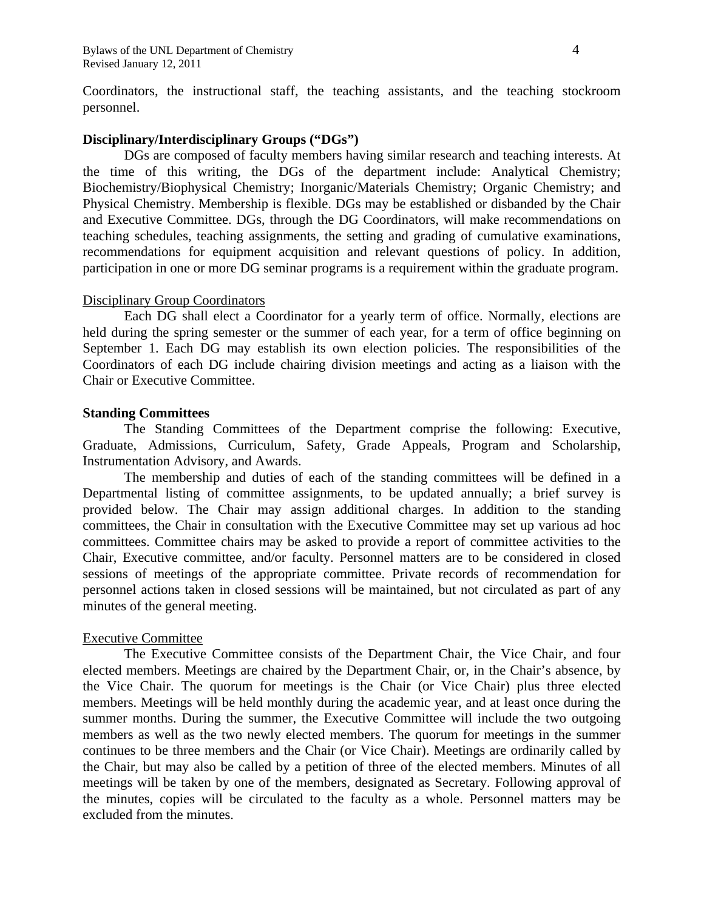Bylaws of the UNL Department of Chemistry 4 Revised January 12, 2011

Coordinators, the instructional staff, the teaching assistants, and the teaching stockroom personnel.

# **Disciplinary/Interdisciplinary Groups ("DGs")**

 DGs are composed of faculty members having similar research and teaching interests. At the time of this writing, the DGs of the department include: Analytical Chemistry; Biochemistry/Biophysical Chemistry; Inorganic/Materials Chemistry; Organic Chemistry; and Physical Chemistry. Membership is flexible. DGs may be established or disbanded by the Chair and Executive Committee. DGs, through the DG Coordinators, will make recommendations on teaching schedules, teaching assignments, the setting and grading of cumulative examinations, recommendations for equipment acquisition and relevant questions of policy. In addition, participation in one or more DG seminar programs is a requirement within the graduate program.

### Disciplinary Group Coordinators

 Each DG shall elect a Coordinator for a yearly term of office. Normally, elections are held during the spring semester or the summer of each year, for a term of office beginning on September 1. Each DG may establish its own election policies. The responsibilities of the Coordinators of each DG include chairing division meetings and acting as a liaison with the Chair or Executive Committee.

### **Standing Committees**

 The Standing Committees of the Department comprise the following: Executive, Graduate, Admissions, Curriculum, Safety, Grade Appeals, Program and Scholarship, Instrumentation Advisory, and Awards.

 The membership and duties of each of the standing committees will be defined in a Departmental listing of committee assignments, to be updated annually; a brief survey is provided below. The Chair may assign additional charges. In addition to the standing committees, the Chair in consultation with the Executive Committee may set up various ad hoc committees. Committee chairs may be asked to provide a report of committee activities to the Chair, Executive committee, and/or faculty. Personnel matters are to be considered in closed sessions of meetings of the appropriate committee. Private records of recommendation for personnel actions taken in closed sessions will be maintained, but not circulated as part of any minutes of the general meeting.

### Executive Committee

 The Executive Committee consists of the Department Chair, the Vice Chair, and four elected members. Meetings are chaired by the Department Chair, or, in the Chair's absence, by the Vice Chair. The quorum for meetings is the Chair (or Vice Chair) plus three elected members. Meetings will be held monthly during the academic year, and at least once during the summer months. During the summer, the Executive Committee will include the two outgoing members as well as the two newly elected members. The quorum for meetings in the summer continues to be three members and the Chair (or Vice Chair). Meetings are ordinarily called by the Chair, but may also be called by a petition of three of the elected members. Minutes of all meetings will be taken by one of the members, designated as Secretary. Following approval of the minutes, copies will be circulated to the faculty as a whole. Personnel matters may be excluded from the minutes.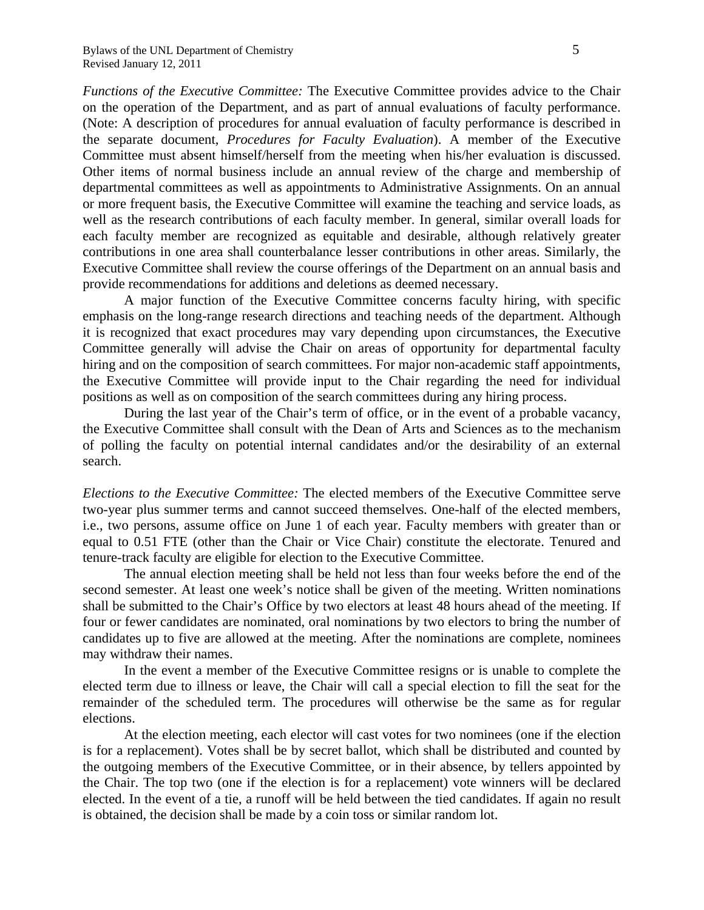*Functions of the Executive Committee:* The Executive Committee provides advice to the Chair on the operation of the Department, and as part of annual evaluations of faculty performance. (Note: A description of procedures for annual evaluation of faculty performance is described in the separate document, *Procedures for Faculty Evaluation*). A member of the Executive Committee must absent himself/herself from the meeting when his/her evaluation is discussed. Other items of normal business include an annual review of the charge and membership of departmental committees as well as appointments to Administrative Assignments. On an annual or more frequent basis, the Executive Committee will examine the teaching and service loads, as well as the research contributions of each faculty member. In general, similar overall loads for each faculty member are recognized as equitable and desirable, although relatively greater contributions in one area shall counterbalance lesser contributions in other areas. Similarly, the Executive Committee shall review the course offerings of the Department on an annual basis and provide recommendations for additions and deletions as deemed necessary.

 A major function of the Executive Committee concerns faculty hiring, with specific emphasis on the long-range research directions and teaching needs of the department. Although it is recognized that exact procedures may vary depending upon circumstances, the Executive Committee generally will advise the Chair on areas of opportunity for departmental faculty hiring and on the composition of search committees. For major non-academic staff appointments, the Executive Committee will provide input to the Chair regarding the need for individual positions as well as on composition of the search committees during any hiring process.

During the last year of the Chair's term of office, or in the event of a probable vacancy, the Executive Committee shall consult with the Dean of Arts and Sciences as to the mechanism of polling the faculty on potential internal candidates and/or the desirability of an external search.

*Elections to the Executive Committee:* The elected members of the Executive Committee serve two-year plus summer terms and cannot succeed themselves. One-half of the elected members, i.e., two persons, assume office on June 1 of each year. Faculty members with greater than or equal to 0.51 FTE (other than the Chair or Vice Chair) constitute the electorate. Tenured and tenure-track faculty are eligible for election to the Executive Committee.

 The annual election meeting shall be held not less than four weeks before the end of the second semester. At least one week's notice shall be given of the meeting. Written nominations shall be submitted to the Chair's Office by two electors at least 48 hours ahead of the meeting. If four or fewer candidates are nominated, oral nominations by two electors to bring the number of candidates up to five are allowed at the meeting. After the nominations are complete, nominees may withdraw their names.

 In the event a member of the Executive Committee resigns or is unable to complete the elected term due to illness or leave, the Chair will call a special election to fill the seat for the remainder of the scheduled term. The procedures will otherwise be the same as for regular elections.

 At the election meeting, each elector will cast votes for two nominees (one if the election is for a replacement). Votes shall be by secret ballot, which shall be distributed and counted by the outgoing members of the Executive Committee, or in their absence, by tellers appointed by the Chair. The top two (one if the election is for a replacement) vote winners will be declared elected. In the event of a tie, a runoff will be held between the tied candidates. If again no result is obtained, the decision shall be made by a coin toss or similar random lot.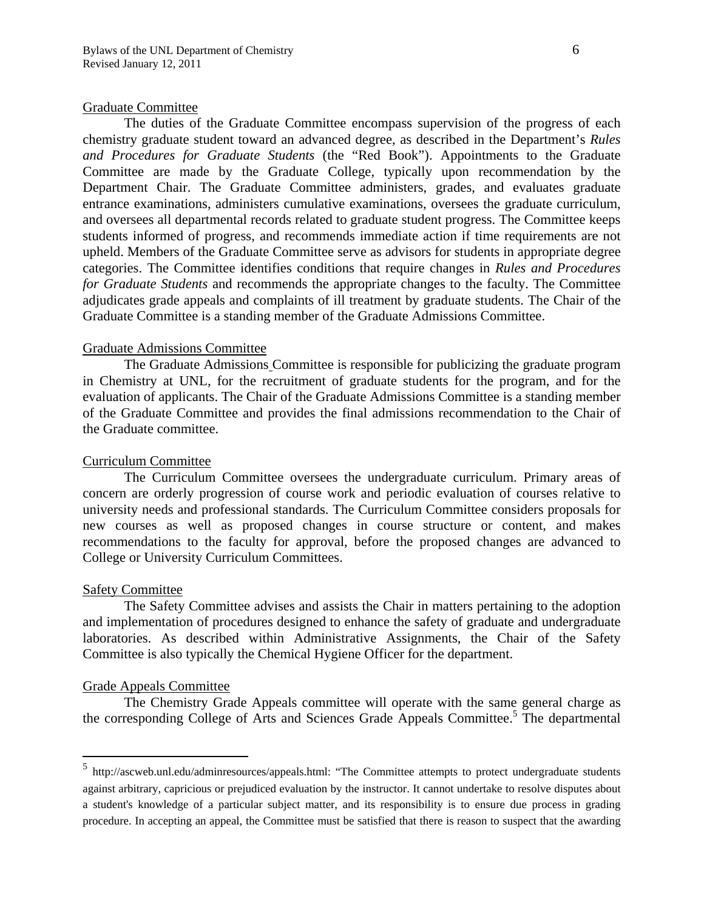#### Graduate Committee

 The duties of the Graduate Committee encompass supervision of the progress of each chemistry graduate student toward an advanced degree, as described in the Department's *Rules and Procedures for Graduate Students* (the "Red Book"). Appointments to the Graduate Committee are made by the Graduate College, typically upon recommendation by the Department Chair. The Graduate Committee administers, grades, and evaluates graduate entrance examinations, administers cumulative examinations, oversees the graduate curriculum, and oversees all departmental records related to graduate student progress. The Committee keeps students informed of progress, and recommends immediate action if time requirements are not upheld. Members of the Graduate Committee serve as advisors for students in appropriate degree categories. The Committee identifies conditions that require changes in *Rules and Procedures for Graduate Students* and recommends the appropriate changes to the faculty. The Committee adjudicates grade appeals and complaints of ill treatment by graduate students. The Chair of the Graduate Committee is a standing member of the Graduate Admissions Committee.

#### Graduate Admissions Committee

 The Graduate Admissions Committee is responsible for publicizing the graduate program in Chemistry at UNL, for the recruitment of graduate students for the program, and for the evaluation of applicants. The Chair of the Graduate Admissions Committee is a standing member of the Graduate Committee and provides the final admissions recommendation to the Chair of the Graduate committee.

# Curriculum Committee

 The Curriculum Committee oversees the undergraduate curriculum. Primary areas of concern are orderly progression of course work and periodic evaluation of courses relative to university needs and professional standards. The Curriculum Committee considers proposals for new courses as well as proposed changes in course structure or content, and makes recommendations to the faculty for approval, before the proposed changes are advanced to College or University Curriculum Committees.

# Safety Committee

 $\overline{a}$ 

 The Safety Committee advises and assists the Chair in matters pertaining to the adoption and implementation of procedures designed to enhance the safety of graduate and undergraduate laboratories. As described within Administrative Assignments, the Chair of the Safety Committee is also typically the Chemical Hygiene Officer for the department.

#### Grade Appeals Committee

The Chemistry Grade Appeals committee will operate with the same general charge as the corresponding College of Arts and Sciences Grade Appeals Committee.<sup>5</sup> The departmental

<sup>5</sup> http://ascweb.unl.edu/adminresources/appeals.html: "The Committee attempts to protect undergraduate students against arbitrary, capricious or prejudiced evaluation by the instructor. It cannot undertake to resolve disputes about a student's knowledge of a particular subject matter, and its responsibility is to ensure due process in grading procedure. In accepting an appeal, the Committee must be satisfied that there is reason to suspect that the awarding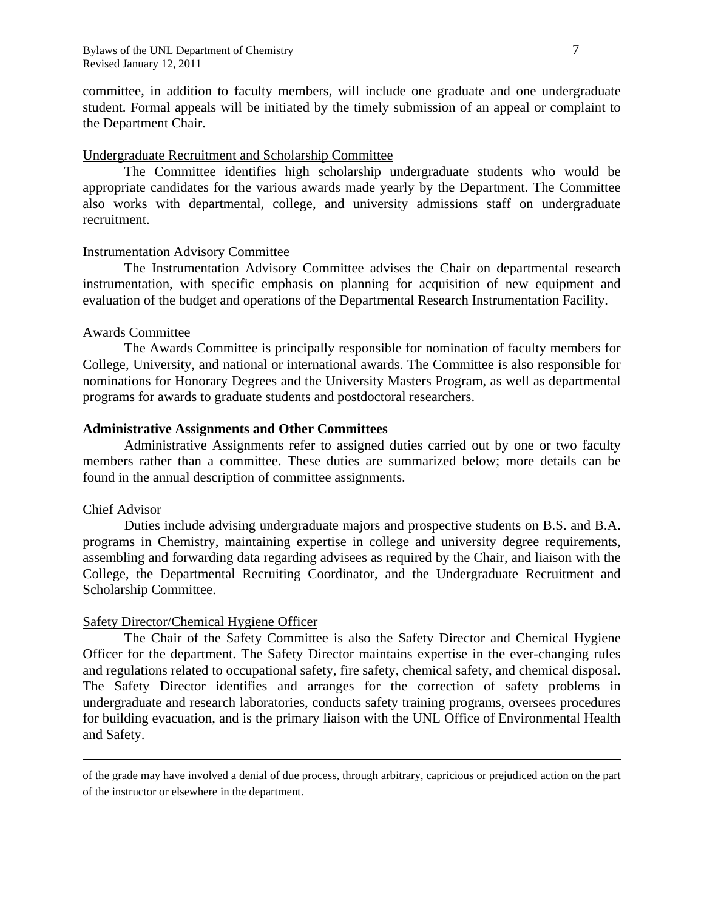committee, in addition to faculty members, will include one graduate and one undergraduate student. Formal appeals will be initiated by the timely submission of an appeal or complaint to the Department Chair.

### Undergraduate Recruitment and Scholarship Committee

 The Committee identifies high scholarship undergraduate students who would be appropriate candidates for the various awards made yearly by the Department. The Committee also works with departmental, college, and university admissions staff on undergraduate recruitment.

### Instrumentation Advisory Committee

 The Instrumentation Advisory Committee advises the Chair on departmental research instrumentation, with specific emphasis on planning for acquisition of new equipment and evaluation of the budget and operations of the Departmental Research Instrumentation Facility.

### Awards Committee

 The Awards Committee is principally responsible for nomination of faculty members for College, University, and national or international awards. The Committee is also responsible for nominations for Honorary Degrees and the University Masters Program, as well as departmental programs for awards to graduate students and postdoctoral researchers.

# **Administrative Assignments and Other Committees**

 Administrative Assignments refer to assigned duties carried out by one or two faculty members rather than a committee. These duties are summarized below; more details can be found in the annual description of committee assignments.

#### Chief Advisor

<u>.</u>

 Duties include advising undergraduate majors and prospective students on B.S. and B.A. programs in Chemistry, maintaining expertise in college and university degree requirements, assembling and forwarding data regarding advisees as required by the Chair, and liaison with the College, the Departmental Recruiting Coordinator, and the Undergraduate Recruitment and Scholarship Committee.

# Safety Director/Chemical Hygiene Officer

 The Chair of the Safety Committee is also the Safety Director and Chemical Hygiene Officer for the department. The Safety Director maintains expertise in the ever-changing rules and regulations related to occupational safety, fire safety, chemical safety, and chemical disposal. The Safety Director identifies and arranges for the correction of safety problems in undergraduate and research laboratories, conducts safety training programs, oversees procedures for building evacuation, and is the primary liaison with the UNL Office of Environmental Health and Safety.

of the grade may have involved a denial of due process, through arbitrary, capricious or prejudiced action on the part of the instructor or elsewhere in the department.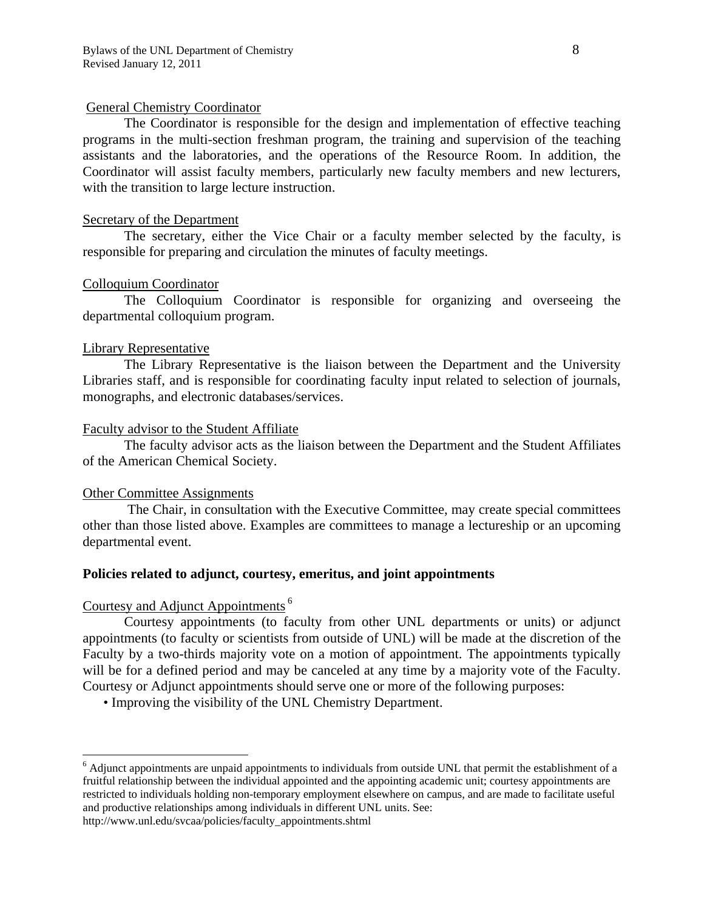# General Chemistry Coordinator

 The Coordinator is responsible for the design and implementation of effective teaching programs in the multi-section freshman program, the training and supervision of the teaching assistants and the laboratories, and the operations of the Resource Room. In addition, the Coordinator will assist faculty members, particularly new faculty members and new lecturers, with the transition to large lecture instruction.

# Secretary of the Department

 The secretary, either the Vice Chair or a faculty member selected by the faculty, is responsible for preparing and circulation the minutes of faculty meetings.

# Colloquium Coordinator

 The Colloquium Coordinator is responsible for organizing and overseeing the departmental colloquium program.

# Library Representative

 The Library Representative is the liaison between the Department and the University Libraries staff, and is responsible for coordinating faculty input related to selection of journals, monographs, and electronic databases/services.

# Faculty advisor to the Student Affiliate

 The faculty advisor acts as the liaison between the Department and the Student Affiliates of the American Chemical Society.

# Other Committee Assignments

 The Chair, in consultation with the Executive Committee, may create special committees other than those listed above. Examples are committees to manage a lectureship or an upcoming departmental event.

# **Policies related to adjunct, courtesy, emeritus, and joint appointments**

# Courtesy and Adjunct Appointments 6

1

 Courtesy appointments (to faculty from other UNL departments or units) or adjunct appointments (to faculty or scientists from outside of UNL) will be made at the discretion of the Faculty by a two-thirds majority vote on a motion of appointment. The appointments typically will be for a defined period and may be canceled at any time by a majority vote of the Faculty. Courtesy or Adjunct appointments should serve one or more of the following purposes:

• Improving the visibility of the UNL Chemistry Department.

<sup>&</sup>lt;sup>6</sup> Adjunct appointments are unpaid appointments to individuals from outside UNL that permit the establishment of a fruitful relationship between the individual appointed and the appointing academic unit; courtesy appointments are restricted to individuals holding non-temporary employment elsewhere on campus, and are made to facilitate useful and productive relationships among individuals in different UNL units. See: http://www.unl.edu/svcaa/policies/faculty\_appointments.shtml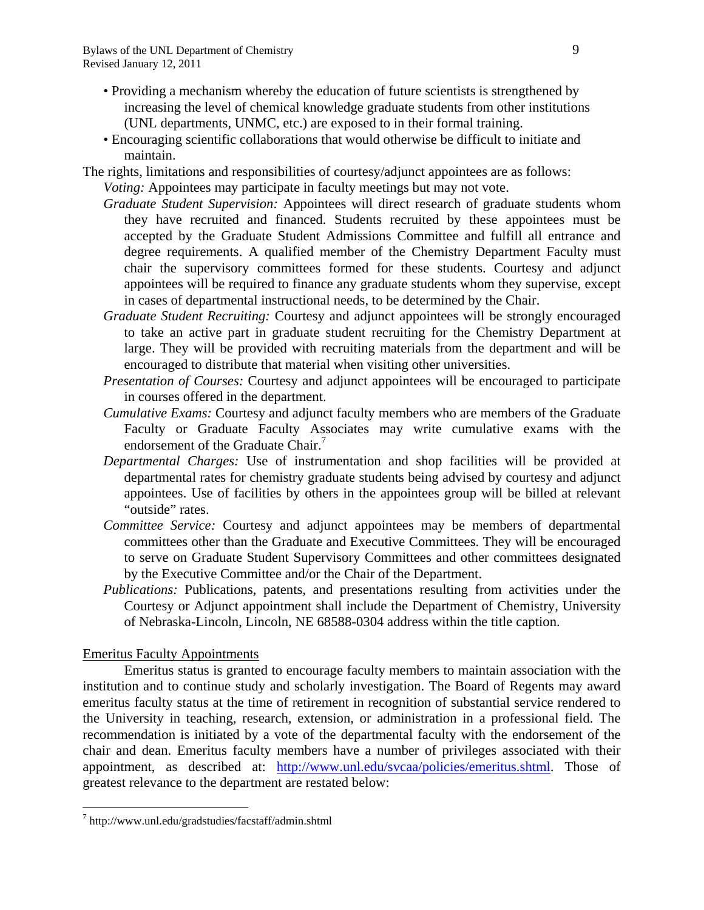- Providing a mechanism whereby the education of future scientists is strengthened by increasing the level of chemical knowledge graduate students from other institutions (UNL departments, UNMC, etc.) are exposed to in their formal training.
- Encouraging scientific collaborations that would otherwise be difficult to initiate and maintain.
- The rights, limitations and responsibilities of courtesy/adjunct appointees are as follows: *Voting:* Appointees may participate in faculty meetings but may not vote.
	- *Graduate Student Supervision:* Appointees will direct research of graduate students whom they have recruited and financed. Students recruited by these appointees must be accepted by the Graduate Student Admissions Committee and fulfill all entrance and degree requirements. A qualified member of the Chemistry Department Faculty must chair the supervisory committees formed for these students. Courtesy and adjunct appointees will be required to finance any graduate students whom they supervise, except in cases of departmental instructional needs, to be determined by the Chair.
	- *Graduate Student Recruiting:* Courtesy and adjunct appointees will be strongly encouraged to take an active part in graduate student recruiting for the Chemistry Department at large. They will be provided with recruiting materials from the department and will be encouraged to distribute that material when visiting other universities.
	- *Presentation of Courses:* Courtesy and adjunct appointees will be encouraged to participate in courses offered in the department.
	- *Cumulative Exams:* Courtesy and adjunct faculty members who are members of the Graduate Faculty or Graduate Faculty Associates may write cumulative exams with the endorsement of the Graduate Chair.<sup>7</sup>
	- *Departmental Charges:* Use of instrumentation and shop facilities will be provided at departmental rates for chemistry graduate students being advised by courtesy and adjunct appointees. Use of facilities by others in the appointees group will be billed at relevant "outside" rates.
	- *Committee Service:* Courtesy and adjunct appointees may be members of departmental committees other than the Graduate and Executive Committees. They will be encouraged to serve on Graduate Student Supervisory Committees and other committees designated by the Executive Committee and/or the Chair of the Department.
	- *Publications:* Publications, patents, and presentations resulting from activities under the Courtesy or Adjunct appointment shall include the Department of Chemistry, University of Nebraska-Lincoln, Lincoln, NE 68588-0304 address within the title caption.

# Emeritus Faculty Appointments

<u>.</u>

Emeritus status is granted to encourage faculty members to maintain association with the institution and to continue study and scholarly investigation. The Board of Regents may award emeritus faculty status at the time of retirement in recognition of substantial service rendered to the University in teaching, research, extension, or administration in a professional field. The recommendation is initiated by a vote of the departmental faculty with the endorsement of the chair and dean. Emeritus faculty members have a number of privileges associated with their appointment, as described at: http://www.unl.edu/svcaa/policies/emeritus.shtml. Those of greatest relevance to the department are restated below:

<sup>7</sup> http://www.unl.edu/gradstudies/facstaff/admin.shtml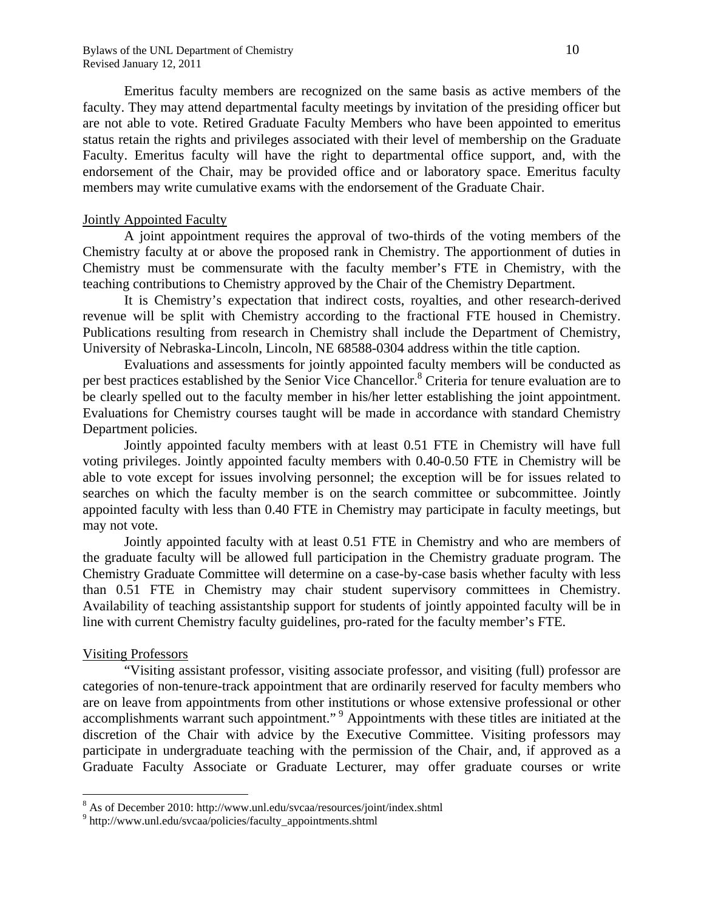Bylaws of the UNL Department of Chemistry 10 Revised January 12, 2011

Emeritus faculty members are recognized on the same basis as active members of the faculty. They may attend departmental faculty meetings by invitation of the presiding officer but are not able to vote. Retired Graduate Faculty Members who have been appointed to emeritus status retain the rights and privileges associated with their level of membership on the Graduate Faculty. Emeritus faculty will have the right to departmental office support, and, with the endorsement of the Chair, may be provided office and or laboratory space. Emeritus faculty members may write cumulative exams with the endorsement of the Graduate Chair.

#### Jointly Appointed Faculty

 A joint appointment requires the approval of two-thirds of the voting members of the Chemistry faculty at or above the proposed rank in Chemistry. The apportionment of duties in Chemistry must be commensurate with the faculty member's FTE in Chemistry, with the teaching contributions to Chemistry approved by the Chair of the Chemistry Department.

 It is Chemistry's expectation that indirect costs, royalties, and other research-derived revenue will be split with Chemistry according to the fractional FTE housed in Chemistry. Publications resulting from research in Chemistry shall include the Department of Chemistry, University of Nebraska-Lincoln, Lincoln, NE 68588-0304 address within the title caption.

 Evaluations and assessments for jointly appointed faculty members will be conducted as per best practices established by the Senior Vice Chancellor.<sup>8</sup> Criteria for tenure evaluation are to be clearly spelled out to the faculty member in his/her letter establishing the joint appointment. Evaluations for Chemistry courses taught will be made in accordance with standard Chemistry Department policies.

 Jointly appointed faculty members with at least 0.51 FTE in Chemistry will have full voting privileges. Jointly appointed faculty members with 0.40-0.50 FTE in Chemistry will be able to vote except for issues involving personnel; the exception will be for issues related to searches on which the faculty member is on the search committee or subcommittee. Jointly appointed faculty with less than 0.40 FTE in Chemistry may participate in faculty meetings, but may not vote.

 Jointly appointed faculty with at least 0.51 FTE in Chemistry and who are members of the graduate faculty will be allowed full participation in the Chemistry graduate program. The Chemistry Graduate Committee will determine on a case-by-case basis whether faculty with less than 0.51 FTE in Chemistry may chair student supervisory committees in Chemistry. Availability of teaching assistantship support for students of jointly appointed faculty will be in line with current Chemistry faculty guidelines, pro-rated for the faculty member's FTE.

#### Visiting Professors

 $\overline{a}$ 

 "Visiting assistant professor, visiting associate professor, and visiting (full) professor are categories of non-tenure-track appointment that are ordinarily reserved for faculty members who are on leave from appointments from other institutions or whose extensive professional or other accomplishments warrant such appointment."<sup>9</sup> Appointments with these titles are initiated at the discretion of the Chair with advice by the Executive Committee. Visiting professors may participate in undergraduate teaching with the permission of the Chair, and, if approved as a Graduate Faculty Associate or Graduate Lecturer, may offer graduate courses or write

 $\frac{8}{9}$  As of December 2010: http://www.unl.edu/svcaa/resources/joint/index.shtml<br> $\frac{9}{9}$  http://www.upl.edu/svcaa/policies/foculty\_enpointments.shtml

<sup>&</sup>lt;sup>9</sup> http://www.unl.edu/svcaa/policies/faculty\_appointments.shtml